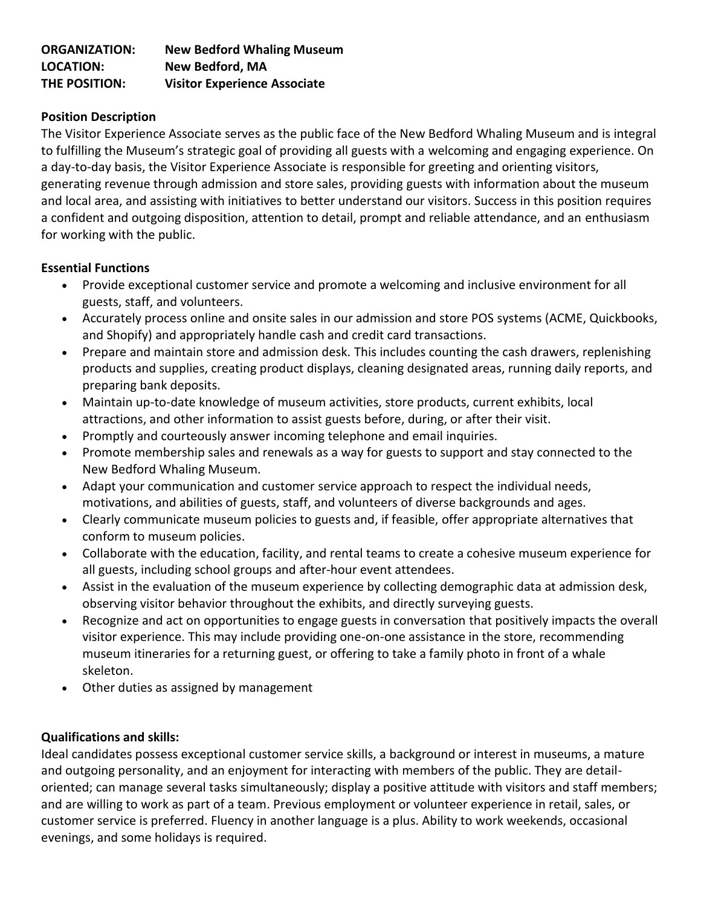| <b>ORGANIZATION:</b> | <b>New Bedford Whaling Museum</b>   |
|----------------------|-------------------------------------|
| <b>LOCATION:</b>     | New Bedford, MA                     |
| THE POSITION:        | <b>Visitor Experience Associate</b> |

## **Position Description**

The Visitor Experience Associate serves as the public face of the New Bedford Whaling Museum and is integral to fulfilling the Museum's strategic goal of providing all guests with a welcoming and engaging experience. On a day-to-day basis, the Visitor Experience Associate is responsible for greeting and orienting visitors, generating revenue through admission and store sales, providing guests with information about the museum and local area, and assisting with initiatives to better understand our visitors. Success in this position requires a confident and outgoing disposition, attention to detail, prompt and reliable attendance, and an enthusiasm for working with the public.

## **Essential Functions**

- Provide exceptional customer service and promote a welcoming and inclusive environment for all guests, staff, and volunteers.
- Accurately process online and onsite sales in our admission and store POS systems (ACME, Quickbooks, and Shopify) and appropriately handle cash and credit card transactions.
- Prepare and maintain store and admission desk. This includes counting the cash drawers, replenishing products and supplies, creating product displays, cleaning designated areas, running daily reports, and preparing bank deposits.
- Maintain up-to-date knowledge of museum activities, store products, current exhibits, local attractions, and other information to assist guests before, during, or after their visit.
- Promptly and courteously answer incoming telephone and email inquiries.
- Promote membership sales and renewals as a way for guests to support and stay connected to the New Bedford Whaling Museum.
- Adapt your communication and customer service approach to respect the individual needs, motivations, and abilities of guests, staff, and volunteers of diverse backgrounds and ages.
- Clearly communicate museum policies to guests and, if feasible, offer appropriate alternatives that conform to museum policies.
- Collaborate with the education, facility, and rental teams to create a cohesive museum experience for all guests, including school groups and after-hour event attendees.
- Assist in the evaluation of the museum experience by collecting demographic data at admission desk, observing visitor behavior throughout the exhibits, and directly surveying guests.
- Recognize and act on opportunities to engage guests in conversation that positively impacts the overall visitor experience. This may include providing one-on-one assistance in the store, recommending museum itineraries for a returning guest, or offering to take a family photo in front of a whale skeleton.
- Other duties as assigned by management

## **Qualifications and skills:**

Ideal candidates possess exceptional customer service skills, a background or interest in museums, a mature and outgoing personality, and an enjoyment for interacting with members of the public. They are detailoriented; can manage several tasks simultaneously; display a positive attitude with visitors and staff members; and are willing to work as part of a team. Previous employment or volunteer experience in retail, sales, or customer service is preferred. Fluency in another language is a plus. Ability to work weekends, occasional evenings, and some holidays is required.